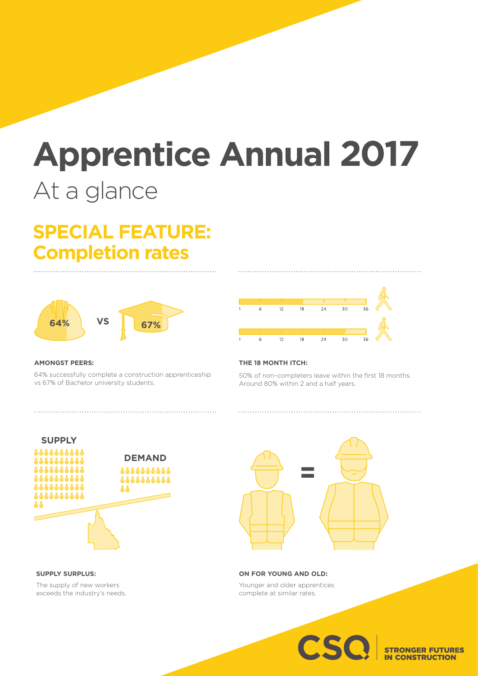# **Apprentice Annual 2017** At a glance

## **SPECIAL FEATURE: Completion rates**



#### **AMONGST PEERS:**

64% successfully complete a construction apprenticeship vs 67% of Bachelor university students.



#### **THE 18 MONTH ITCH:**

50% of non–completers leave within the first 18 months. Around 80% within 2 and a half years.



**SUPPLY SURPLUS:**

The supply of new workers exceeds the industry's needs.



**ON FOR YOUNG AND OLD:** Younger and older apprentices complete at similar rates.